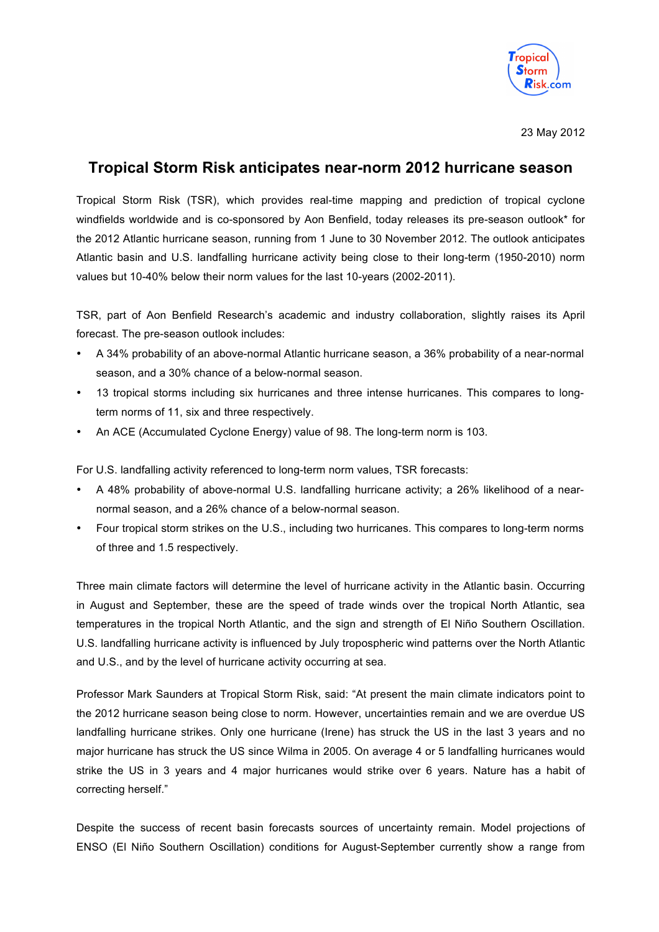

23 May 2012

# **Tropical Storm Risk anticipates near-norm 2012 hurricane season**

Tropical Storm Risk (TSR), which provides real-time mapping and prediction of tropical cyclone windfields worldwide and is co-sponsored by Aon Benfield, today releases its pre-season outlook\* for the 2012 Atlantic hurricane season, running from 1 June to 30 November 2012. The outlook anticipates Atlantic basin and U.S. landfalling hurricane activity being close to their long-term (1950-2010) norm values but 10-40% below their norm values for the last 10-years (2002-2011).

TSR, part of Aon Benfield Research's academic and industry collaboration, slightly raises its April forecast. The pre-season outlook includes:

- A 34% probability of an above-normal Atlantic hurricane season, a 36% probability of a near-normal season, and a 30% chance of a below-normal season.
- 13 tropical storms including six hurricanes and three intense hurricanes. This compares to longterm norms of 11, six and three respectively.
- An ACE (Accumulated Cyclone Energy) value of 98. The long-term norm is 103.

For U.S. landfalling activity referenced to long-term norm values, TSR forecasts:

- A 48% probability of above-normal U.S. landfalling hurricane activity; a 26% likelihood of a nearnormal season, and a 26% chance of a below-normal season.
- Four tropical storm strikes on the U.S., including two hurricanes. This compares to long-term norms of three and 1.5 respectively.

Three main climate factors will determine the level of hurricane activity in the Atlantic basin. Occurring in August and September, these are the speed of trade winds over the tropical North Atlantic, sea temperatures in the tropical North Atlantic, and the sign and strength of El Niño Southern Oscillation. U.S. landfalling hurricane activity is influenced by July tropospheric wind patterns over the North Atlantic and U.S., and by the level of hurricane activity occurring at sea.

Professor Mark Saunders at Tropical Storm Risk, said: "At present the main climate indicators point to the 2012 hurricane season being close to norm. However, uncertainties remain and we are overdue US landfalling hurricane strikes. Only one hurricane (Irene) has struck the US in the last 3 years and no major hurricane has struck the US since Wilma in 2005. On average 4 or 5 landfalling hurricanes would strike the US in 3 years and 4 major hurricanes would strike over 6 years. Nature has a habit of correcting herself."

Despite the success of recent basin forecasts sources of uncertainty remain. Model projections of ENSO (El Niño Southern Oscillation) conditions for August-September currently show a range from